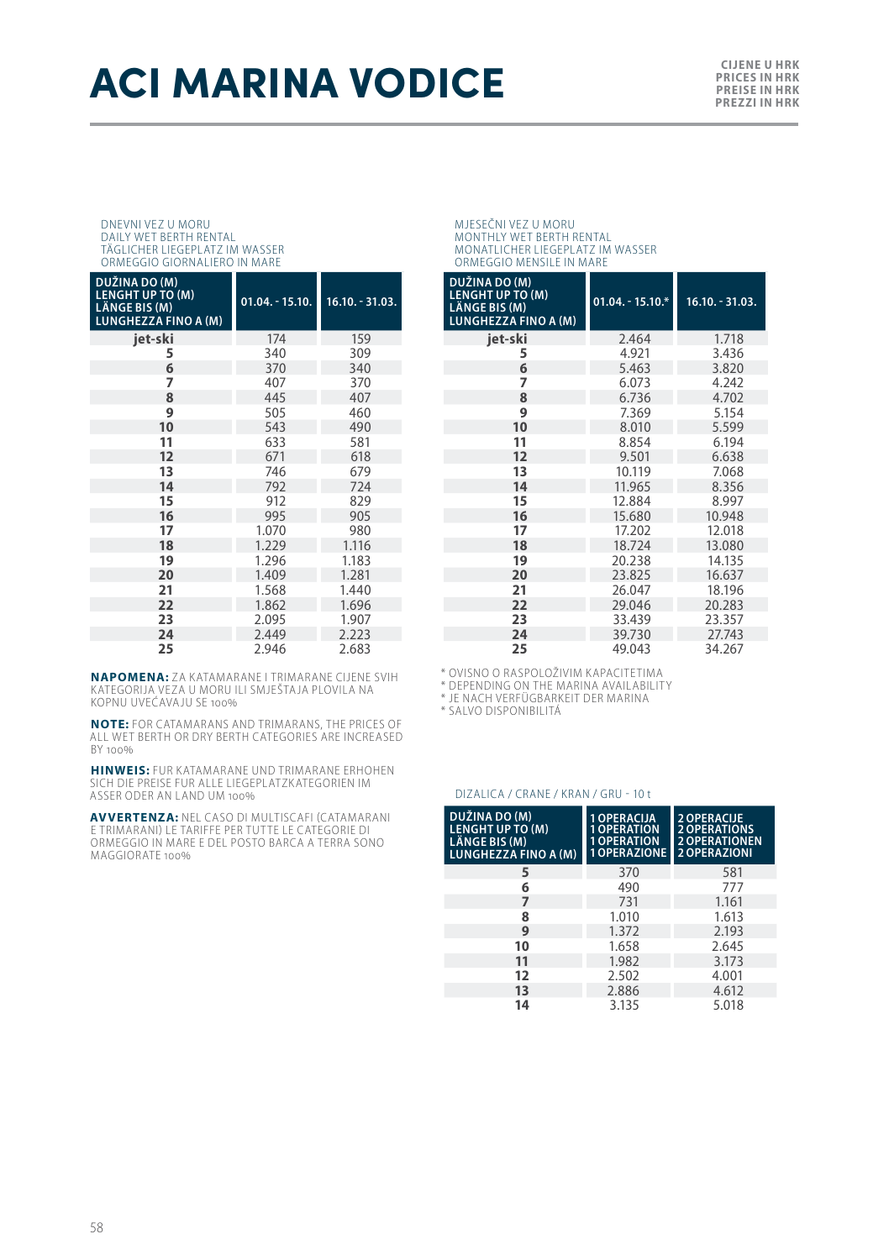# **ACI MARINA VODICE**

**PRICES IN HRK PREISE IN HRK PREZZI IN HRK**

#### DNEVNI VEZ U MORU DAILY WET BERTH RENTAL TÄGLICHER LIEGEPLATZ IM WASSER ORMEGGIO GIORNALIERO IN MARE

| DUŽINA DO (M)<br><b>LENGHT UP TO (M)</b><br>LÄNGE BIS (M)<br><b>LUNGHEZZA FINO A (M)</b> | $01.04. - 15.10.$ | $16.10. - 31.03.$ |
|------------------------------------------------------------------------------------------|-------------------|-------------------|
| iet-ski                                                                                  | 174               | 159               |
| 5                                                                                        | 340               | 309               |
| 6                                                                                        | 370               | 340               |
| 7                                                                                        | 407               | 370               |
| 8                                                                                        | 445               | 407               |
| 9                                                                                        | 505               | 460               |
| 10                                                                                       | 543               | 490               |
| 11                                                                                       | 633               | 581               |
| 12                                                                                       | 671               | 618               |
| 13                                                                                       | 746               | 679               |
| 14                                                                                       | 792               | 724               |
| 15                                                                                       | 912               | 829               |
| 16                                                                                       | 995               | 905               |
| 17                                                                                       | 1.070             | 980               |
| 18                                                                                       | 1.229             | 1.116             |
| 19                                                                                       | 1.296             | 1.183             |
| 20                                                                                       | 1.409             | 1.281             |
| 21                                                                                       | 1.568             | 1.440             |
| 22                                                                                       | 1.862             | 1.696             |
| 23                                                                                       | 2.095             | 1.907             |
| 24                                                                                       | 2.449             | 2.223             |
| 25                                                                                       | 2.946             | 2.683             |

**NAPOMENA:** ZA KATAMARANE I TRIMARANE CIJENE SVIH<br>KATEGORIJA VEZA U MORU ILI SMJEŠTAJA PLOVILA NA<br>KOPNU UVEĆAVAJU SE 100%

**NOTE:** FOR CATAMARANS AND TRIMARANS, THE PRICES OF ALL WET BERTH OR DRY BERTH CATEGORIES ARE INCREASED BY 100%

**HINWEIS:** FUR KATAMARANE UND TRIMARANE ERHOHEN SICH DIE PREISE FUR ALLE LIEGEPLATZKATEGORIEN IM ASSER ODER AN LAND UM 100%

**AVVERTENZA:** NEL CASO DI MULTISCAFI (CATAMARANI E TRIMARANI) LE TARIFFE PER TUTTE LE CATEGORIE DI<br>ORMEGGIO IN MARE E DEL POSTO BARCA A TERRA SONO MAGGIORATE 100%

MJESEČNI VEZ U MORU MONTHLY WET BERTH RENTAL MONATLICHER LIEGEPLATZ IM WASSER ORMEGGIO MENSILE IN MARE

| DUŽINA DO (M)<br><b>LENGHT UP TO (M)</b><br>LÄNGE BIS (M)<br><b>LUNGHEZZA FINO A (M)</b> | $01.04. - 15.10.*$ | $16.10 - 31.03$ . |
|------------------------------------------------------------------------------------------|--------------------|-------------------|
| jet-ski                                                                                  | 2.464              | 1.718             |
| 5                                                                                        | 4.921              | 3.436             |
| 6                                                                                        | 5.463              | 3.820             |
| 7                                                                                        | 6.073              | 4.242             |
| 8                                                                                        | 6.736              | 4.702             |
| 9                                                                                        | 7.369              | 5.154             |
| 10                                                                                       | 8.010              | 5.599             |
| 11                                                                                       | 8.854              | 6.194             |
| 12                                                                                       | 9.501              | 6.638             |
| 13                                                                                       | 10.119             | 7.068             |
| 14                                                                                       | 11.965             | 8.356             |
| 15                                                                                       | 12.884             | 8.997             |
| 16                                                                                       | 15.680             | 10.948            |
| 17                                                                                       | 17.202             | 12.018            |
| 18                                                                                       | 18.724             | 13.080            |
| 19                                                                                       | 20.238             | 14.135            |
| 20                                                                                       | 23.825             | 16.637            |
| 21                                                                                       | 26.047             | 18.196            |
| 22                                                                                       | 29.046             | 20.283            |
| 23                                                                                       | 33.439             | 23.357            |
| 24                                                                                       | 39.730             | 27.743            |
| 25                                                                                       | 49.043             | 34.267            |

\* OVISNO O RASPOLOŽIVIM KAPACITETIMA

\* DEPENDING ON THE MARINA AVAILABILITY \* JE NACH VERFÜGBARKEIT DER MARINA

\* SALVO DISPONIBILITÁ

### DIZALICA / CRANE / KRAN / GRU - 10 t

| DUŽINA DO (M)<br><b>LENGHT UP TO (M)</b><br>LÄNGE BIS (M)<br>LUNGHEZZA FINO A (M) | <b>1 OPERACIJA</b><br><b>1 OPERATION</b><br><b>1 OPERATION</b><br><b>1 OPERAZIONE</b> | <b>2 OPERACIJE</b><br><b>2 OPERATIONS</b><br><b>2 OPERATIONEN</b><br><b>2 OPERAZIONI</b> |  |
|-----------------------------------------------------------------------------------|---------------------------------------------------------------------------------------|------------------------------------------------------------------------------------------|--|
| 5                                                                                 | 370                                                                                   | 581                                                                                      |  |
| 6                                                                                 | 490                                                                                   | 777                                                                                      |  |
| 7                                                                                 | 731                                                                                   | 1.161                                                                                    |  |
| 8                                                                                 | 1.010                                                                                 | 1.613                                                                                    |  |
| 9                                                                                 | 1.372                                                                                 | 2.193                                                                                    |  |
| 10                                                                                | 1.658                                                                                 | 2.645                                                                                    |  |
| 11                                                                                | 1.982                                                                                 | 3.173                                                                                    |  |
| 12                                                                                | 2.502                                                                                 | 4.001                                                                                    |  |
| 13                                                                                | 2.886                                                                                 | 4.612                                                                                    |  |
| 14                                                                                | 3.135                                                                                 | 5.018                                                                                    |  |